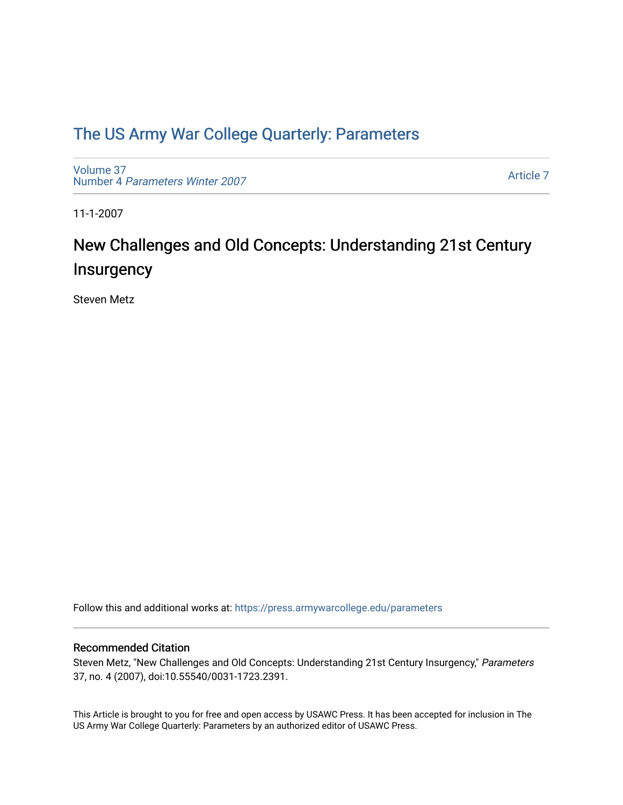## [The US Army War College Quarterly: Parameters](https://press.armywarcollege.edu/parameters)

[Volume 37](https://press.armywarcollege.edu/parameters/vol37) Number 4 [Parameters Winter 2007](https://press.armywarcollege.edu/parameters/vol37/iss4)

[Article 7](https://press.armywarcollege.edu/parameters/vol37/iss4/7) 

11-1-2007

# New Challenges and Old Concepts: Understanding 21st Century **Insurgency**

Steven Metz

Follow this and additional works at: [https://press.armywarcollege.edu/parameters](https://press.armywarcollege.edu/parameters?utm_source=press.armywarcollege.edu%2Fparameters%2Fvol37%2Fiss4%2F7&utm_medium=PDF&utm_campaign=PDFCoverPages) 

#### Recommended Citation

Steven Metz, "New Challenges and Old Concepts: Understanding 21st Century Insurgency," Parameters 37, no. 4 (2007), doi:10.55540/0031-1723.2391.

This Article is brought to you for free and open access by USAWC Press. It has been accepted for inclusion in The US Army War College Quarterly: Parameters by an authorized editor of USAWC Press.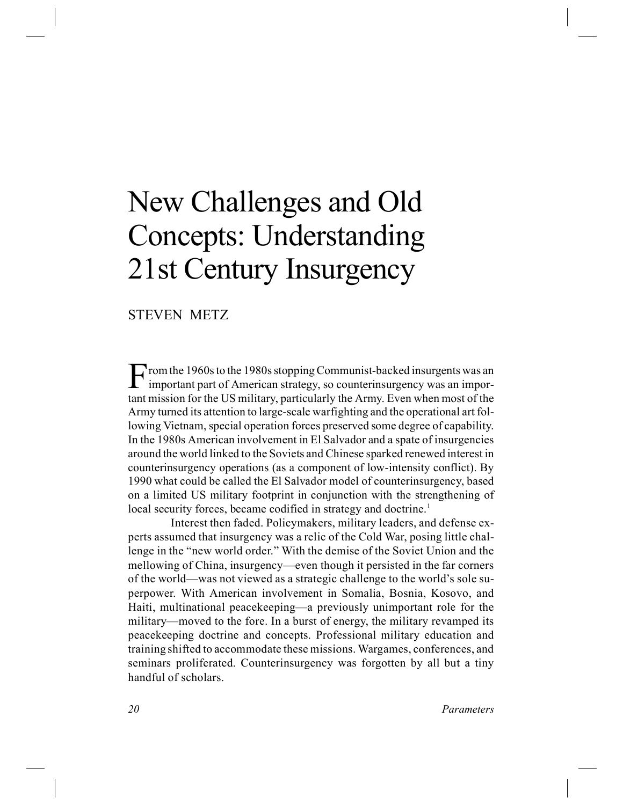# New Challenges and Old Concepts: Understanding 21st Century Insurgency

### STEVEN METZ

From the 1960s to the 1980s stopping Communist-backed insurgents was an important part of American strategy, so counterinsurgency was an imporimportant part of American strategy, so counterinsurgency was an important mission for the US military, particularly the Army. Even when most of the Army turned its attention to large-scale warfighting and the operational art following Vietnam, special operation forces preserved some degree of capability. In the 1980s American involvement in El Salvador and a spate of insurgencies around the world linked to the Soviets and Chinese sparked renewed interest in counterinsurgency operations (as a component of low-intensity conflict). By 1990 what could be called the El Salvador model of counterinsurgency, based on a limited US military footprint in conjunction with the strengthening of local security forces, became codified in strategy and doctrine.<sup>1</sup>

Interest then faded. Policymakers, military leaders, and defense experts assumed that insurgency was a relic of the Cold War, posing little challenge in the "new world order." With the demise of the Soviet Union and the mellowing of China, insurgency—even though it persisted in the far corners of the world—was not viewed as a strategic challenge to the world's sole superpower. With American involvement in Somalia, Bosnia, Kosovo, and Haiti, multinational peacekeeping—a previously unimportant role for the military—moved to the fore. In a burst of energy, the military revamped its peacekeeping doctrine and concepts. Professional military education and training shifted to accommodate these missions. Wargames, conferences, and seminars proliferated. Counterinsurgency was forgotten by all but a tiny handful of scholars.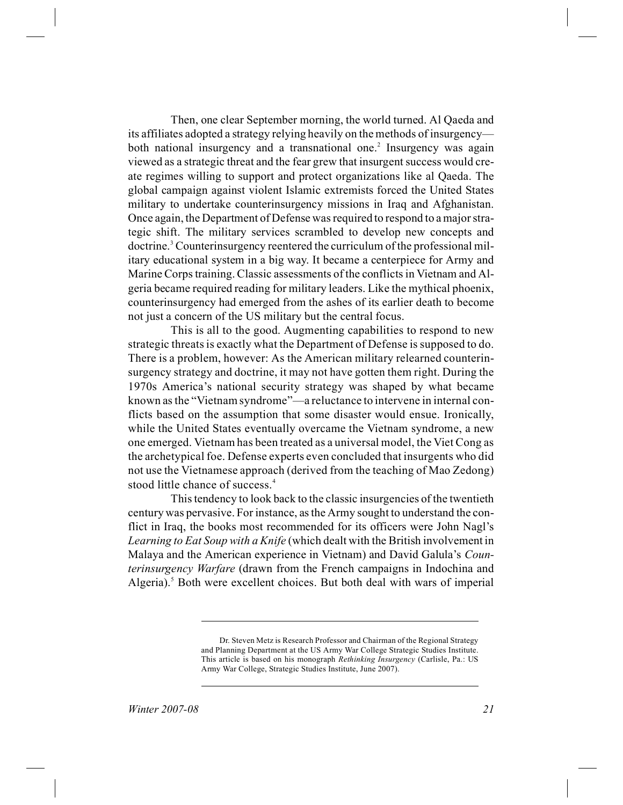Then, one clear September morning, the world turned. Al Qaeda and its affiliates adopted a strategy relying heavily on the methods of insurgency both national insurgency and a transnational one.<sup>2</sup> Insurgency was again viewed as a strategic threat and the fear grew that insurgent success would create regimes willing to support and protect organizations like al Qaeda. The global campaign against violent Islamic extremists forced the United States military to undertake counterinsurgency missions in Iraq and Afghanistan. Once again, the Department of Defense was required to respond to a major strategic shift. The military services scrambled to develop new concepts and doctrine.<sup>3</sup> Counterinsurgency reentered the curriculum of the professional military educational system in a big way. It became a centerpiece for Army and Marine Corps training. Classic assessments of the conflicts in Vietnam and Algeria became required reading for military leaders. Like the mythical phoenix, counterinsurgency had emerged from the ashes of its earlier death to become not just a concern of the US military but the central focus.

This is all to the good. Augmenting capabilities to respond to new strategic threats is exactly what the Department of Defense is supposed to do. There is a problem, however: As the American military relearned counterinsurgency strategy and doctrine, it may not have gotten them right. During the 1970s America's national security strategy was shaped by what became known as the "Vietnam syndrome"—a reluctance to intervene in internal conflicts based on the assumption that some disaster would ensue. Ironically, while the United States eventually overcame the Vietnam syndrome, a new one emerged. Vietnam has been treated as a universal model, the Viet Cong as the archetypical foe. Defense experts even concluded that insurgents who did not use the Vietnamese approach (derived from the teaching of Mao Zedong) stood little chance of success.<sup>4</sup>

This tendency to look back to the classic insurgencies of the twentieth century was pervasive. For instance, as the Army sought to understand the conflict in Iraq, the books most recommended for its officers were John Nagl's *Learning to Eat Soup with a Knife* (which dealt with the British involvement in Malaya and the American experience in Vietnam) and David Galula's *Counterinsurgency Warfare* (drawn from the French campaigns in Indochina and Algeria).<sup>5</sup> Both were excellent choices. But both deal with wars of imperial

Dr. Steven Metz is Research Professor and Chairman of the Regional Strategy and Planning Department at the US Army War College Strategic Studies Institute. This article is based on his monograph *Rethinking Insurgency* (Carlisle, Pa.: US Army War College, Strategic Studies Institute, June 2007).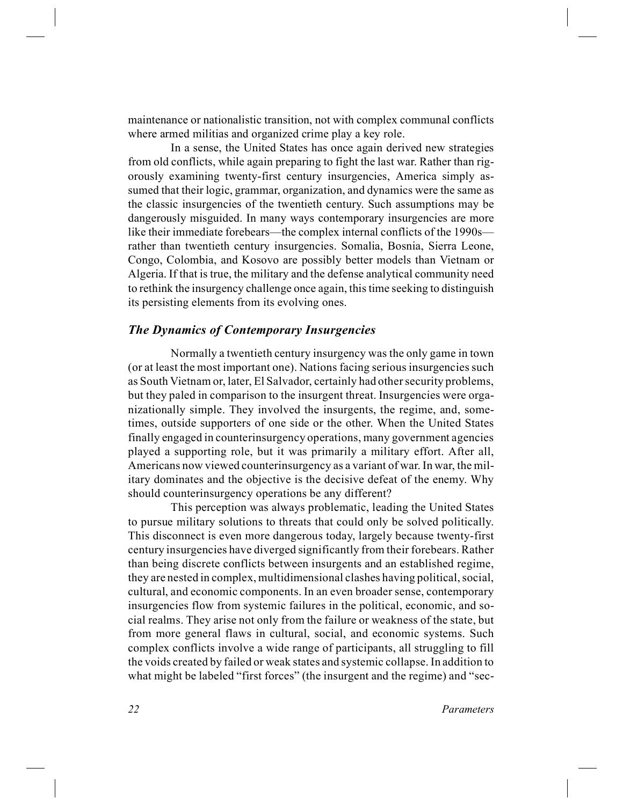maintenance or nationalistic transition, not with complex communal conflicts where armed militias and organized crime play a key role.

In a sense, the United States has once again derived new strategies from old conflicts, while again preparing to fight the last war. Rather than rigorously examining twenty-first century insurgencies, America simply assumed that their logic, grammar, organization, and dynamics were the same as the classic insurgencies of the twentieth century. Such assumptions may be dangerously misguided. In many ways contemporary insurgencies are more like their immediate forebears—the complex internal conflicts of the 1990s rather than twentieth century insurgencies. Somalia, Bosnia, Sierra Leone, Congo, Colombia, and Kosovo are possibly better models than Vietnam or Algeria. If that is true, the military and the defense analytical community need to rethink the insurgency challenge once again, this time seeking to distinguish its persisting elements from its evolving ones.

#### *The Dynamics of Contemporary Insurgencies*

Normally a twentieth century insurgency was the only game in town (or at least the most important one). Nations facing serious insurgencies such as South Vietnam or, later, El Salvador, certainly had other security problems, but they paled in comparison to the insurgent threat. Insurgencies were organizationally simple. They involved the insurgents, the regime, and, sometimes, outside supporters of one side or the other. When the United States finally engaged in counterinsurgency operations, many government agencies played a supporting role, but it was primarily a military effort. After all, Americans now viewed counterinsurgency as a variant of war. In war, the military dominates and the objective is the decisive defeat of the enemy. Why should counterinsurgency operations be any different?

This perception was always problematic, leading the United States to pursue military solutions to threats that could only be solved politically. This disconnect is even more dangerous today, largely because twenty-first century insurgencies have diverged significantly from their forebears. Rather than being discrete conflicts between insurgents and an established regime, they are nested in complex, multidimensional clashes having political, social, cultural, and economic components. In an even broader sense, contemporary insurgencies flow from systemic failures in the political, economic, and social realms. They arise not only from the failure or weakness of the state, but from more general flaws in cultural, social, and economic systems. Such complex conflicts involve a wide range of participants, all struggling to fill the voids created by failed or weak states and systemic collapse. In addition to what might be labeled "first forces" (the insurgent and the regime) and "sec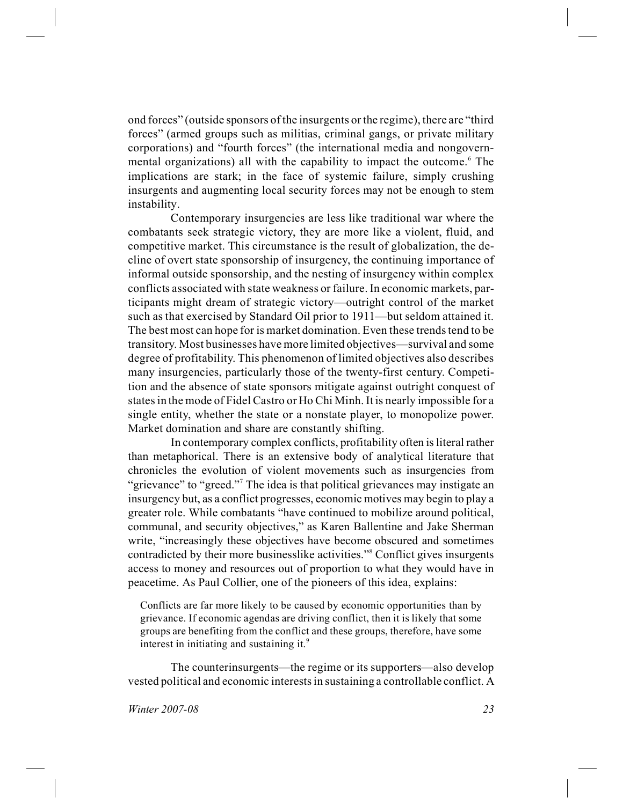ond forces" (outside sponsors of the insurgents or the regime), there are "third forces" (armed groups such as militias, criminal gangs, or private military corporations) and "fourth forces" (the international media and nongovernmental organizations) all with the capability to impact the outcome.<sup>6</sup> The implications are stark; in the face of systemic failure, simply crushing insurgents and augmenting local security forces may not be enough to stem instability.

Contemporary insurgencies are less like traditional war where the combatants seek strategic victory, they are more like a violent, fluid, and competitive market. This circumstance is the result of globalization, the decline of overt state sponsorship of insurgency, the continuing importance of informal outside sponsorship, and the nesting of insurgency within complex conflicts associated with state weakness or failure. In economic markets, participants might dream of strategic victory—outright control of the market such as that exercised by Standard Oil prior to 1911—but seldom attained it. The best most can hope for is market domination. Even these trends tend to be transitory. Most businesses have more limited objectives—survival and some degree of profitability. This phenomenon of limited objectives also describes many insurgencies, particularly those of the twenty-first century. Competition and the absence of state sponsors mitigate against outright conquest of states in the mode of Fidel Castro or Ho Chi Minh. It is nearly impossible for a single entity, whether the state or a nonstate player, to monopolize power. Market domination and share are constantly shifting.

In contemporary complex conflicts, profitability often is literal rather than metaphorical. There is an extensive body of analytical literature that chronicles the evolution of violent movements such as insurgencies from "grievance" to "greed."<sup>7</sup> The idea is that political grievances may instigate an insurgency but, as a conflict progresses, economic motives may begin to play a greater role. While combatants "have continued to mobilize around political, communal, and security objectives," as Karen Ballentine and Jake Sherman write, "increasingly these objectives have become obscured and sometimes contradicted by their more businesslike activities."<sup>8</sup> Conflict gives insurgents access to money and resources out of proportion to what they would have in peacetime. As Paul Collier, one of the pioneers of this idea, explains:

Conflicts are far more likely to be caused by economic opportunities than by grievance. If economic agendas are driving conflict, then it is likely that some groups are benefiting from the conflict and these groups, therefore, have some interest in initiating and sustaining it. $9$ 

The counterinsurgents—the regime or its supporters—also develop vested political and economic interests in sustaining a controllable conflict. A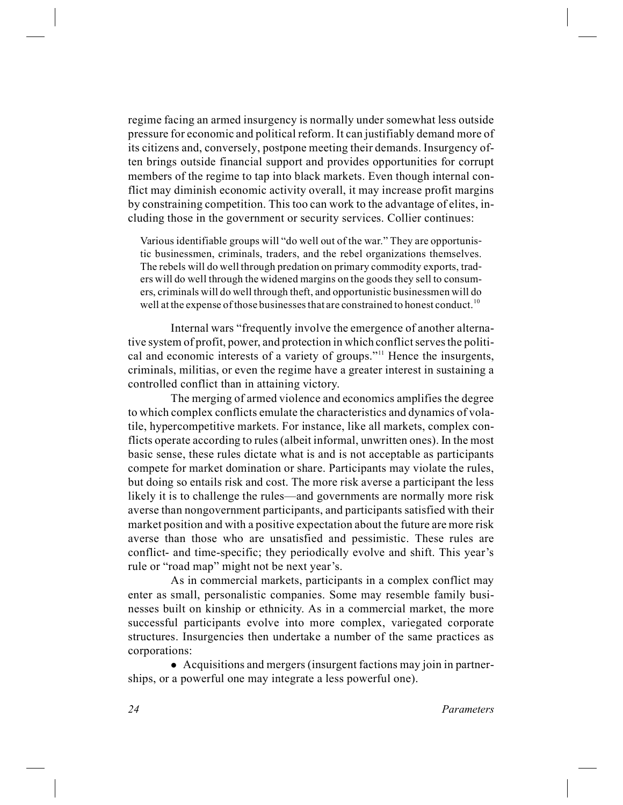regime facing an armed insurgency is normally under somewhat less outside pressure for economic and political reform. It can justifiably demand more of its citizens and, conversely, postpone meeting their demands. Insurgency often brings outside financial support and provides opportunities for corrupt members of the regime to tap into black markets. Even though internal conflict may diminish economic activity overall, it may increase profit margins by constraining competition. This too can work to the advantage of elites, including those in the government or security services. Collier continues:

Various identifiable groups will "do well out of the war." They are opportunistic businessmen, criminals, traders, and the rebel organizations themselves. The rebels will do well through predation on primary commodity exports, traders will do well through the widened margins on the goods they sell to consumers, criminals will do well through theft, and opportunistic businessmen will do well at the expense of those businesses that are constrained to honest conduct.<sup>10</sup>

Internal wars "frequently involve the emergence of another alternative system of profit, power, and protection in which conflict serves the political and economic interests of a variety of groups."<sup>11</sup> Hence the insurgents, criminals, militias, or even the regime have a greater interest in sustaining a controlled conflict than in attaining victory.

The merging of armed violence and economics amplifies the degree to which complex conflicts emulate the characteristics and dynamics of volatile, hypercompetitive markets. For instance, like all markets, complex conflicts operate according to rules (albeit informal, unwritten ones). In the most basic sense, these rules dictate what is and is not acceptable as participants compete for market domination or share. Participants may violate the rules, but doing so entails risk and cost. The more risk averse a participant the less likely it is to challenge the rules—and governments are normally more risk averse than nongovernment participants, and participants satisfied with their market position and with a positive expectation about the future are more risk averse than those who are unsatisfied and pessimistic. These rules are conflict- and time-specific; they periodically evolve and shift. This year's rule or "road map" might not be next year's.

As in commercial markets, participants in a complex conflict may enter as small, personalistic companies. Some may resemble family businesses built on kinship or ethnicity. As in a commercial market, the more successful participants evolve into more complex, variegated corporate structures. Insurgencies then undertake a number of the same practices as corporations:

 Acquisitions and mergers (insurgent factions may join in partnerships, or a powerful one may integrate a less powerful one).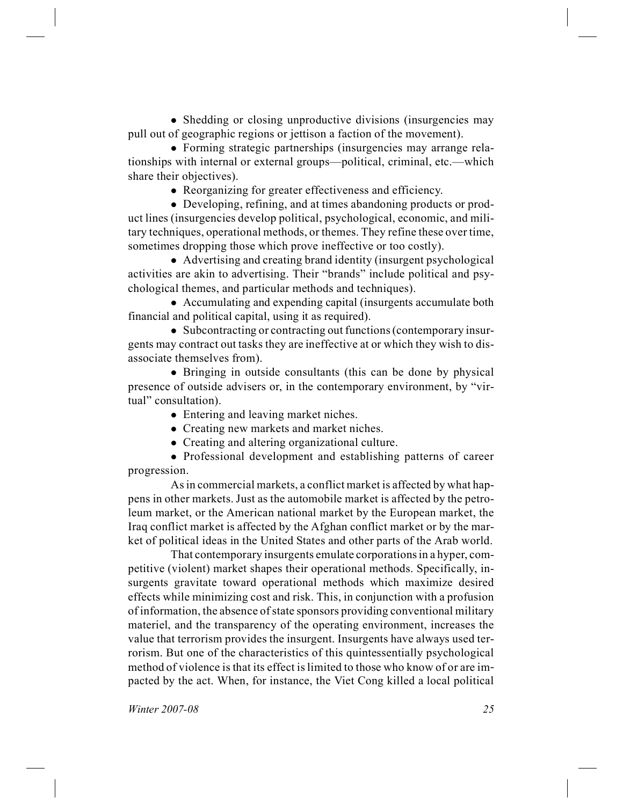• Shedding or closing unproductive divisions (insurgencies may pull out of geographic regions or jettison a faction of the movement).

 Forming strategic partnerships (insurgencies may arrange relationships with internal or external groups—political, criminal, etc.—which share their objectives).

Reorganizing for greater effectiveness and efficiency.

 Developing, refining, and at times abandoning products or product lines (insurgencies develop political, psychological, economic, and military techniques, operational methods, or themes. They refine these over time, sometimes dropping those which prove ineffective or too costly).

 Advertising and creating brand identity (insurgent psychological activities are akin to advertising. Their "brands" include political and psychological themes, and particular methods and techniques).

 Accumulating and expending capital (insurgents accumulate both financial and political capital, using it as required).

• Subcontracting or contracting out functions (contemporary insurgents may contract out tasks they are ineffective at or which they wish to disassociate themselves from).

• Bringing in outside consultants (this can be done by physical presence of outside advisers or, in the contemporary environment, by "virtual" consultation).

• Entering and leaving market niches.

• Creating new markets and market niches.

Creating and altering organizational culture.

 Professional development and establishing patterns of career progression.

As in commercial markets, a conflict market is affected by what happens in other markets. Just as the automobile market is affected by the petroleum market, or the American national market by the European market, the Iraq conflict market is affected by the Afghan conflict market or by the market of political ideas in the United States and other parts of the Arab world.

That contemporary insurgents emulate corporations in a hyper, competitive (violent) market shapes their operational methods. Specifically, insurgents gravitate toward operational methods which maximize desired effects while minimizing cost and risk. This, in conjunction with a profusion of information, the absence of state sponsors providing conventional military materiel, and the transparency of the operating environment, increases the value that terrorism provides the insurgent. Insurgents have always used terrorism. But one of the characteristics of this quintessentially psychological method of violence is that its effect is limited to those who know of or are impacted by the act. When, for instance, the Viet Cong killed a local political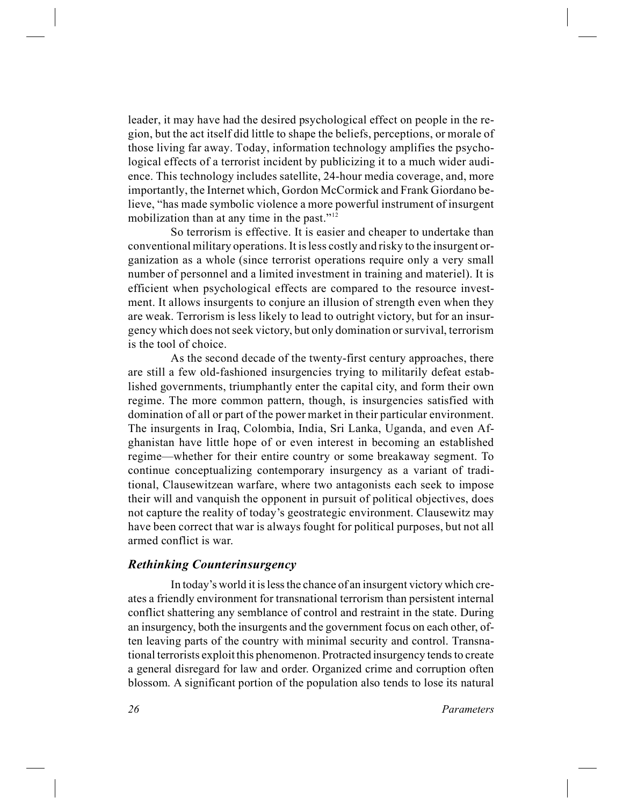leader, it may have had the desired psychological effect on people in the region, but the act itself did little to shape the beliefs, perceptions, or morale of those living far away. Today, information technology amplifies the psychological effects of a terrorist incident by publicizing it to a much wider audience. This technology includes satellite, 24-hour media coverage, and, more importantly, the Internet which, Gordon McCormick and Frank Giordano believe, "has made symbolic violence a more powerful instrument of insurgent mobilization than at any time in the past."<sup>12</sup>

So terrorism is effective. It is easier and cheaper to undertake than conventional military operations. It is less costly and risky to the insurgent organization as a whole (since terrorist operations require only a very small number of personnel and a limited investment in training and materiel). It is efficient when psychological effects are compared to the resource investment. It allows insurgents to conjure an illusion of strength even when they are weak. Terrorism is less likely to lead to outright victory, but for an insurgency which does not seek victory, but only domination or survival, terrorism is the tool of choice.

As the second decade of the twenty-first century approaches, there are still a few old-fashioned insurgencies trying to militarily defeat established governments, triumphantly enter the capital city, and form their own regime. The more common pattern, though, is insurgencies satisfied with domination of all or part of the power market in their particular environment. The insurgents in Iraq, Colombia, India, Sri Lanka, Uganda, and even Afghanistan have little hope of or even interest in becoming an established regime—whether for their entire country or some breakaway segment. To continue conceptualizing contemporary insurgency as a variant of traditional, Clausewitzean warfare, where two antagonists each seek to impose their will and vanquish the opponent in pursuit of political objectives, does not capture the reality of today's geostrategic environment. Clausewitz may have been correct that war is always fought for political purposes, but not all armed conflict is war.

#### *Rethinking Counterinsurgency*

In today's world it is less the chance of an insurgent victory which creates a friendly environment for transnational terrorism than persistent internal conflict shattering any semblance of control and restraint in the state. During an insurgency, both the insurgents and the government focus on each other, often leaving parts of the country with minimal security and control. Transnational terrorists exploit this phenomenon. Protracted insurgency tends to create a general disregard for law and order. Organized crime and corruption often blossom. A significant portion of the population also tends to lose its natural

*26 Parameters*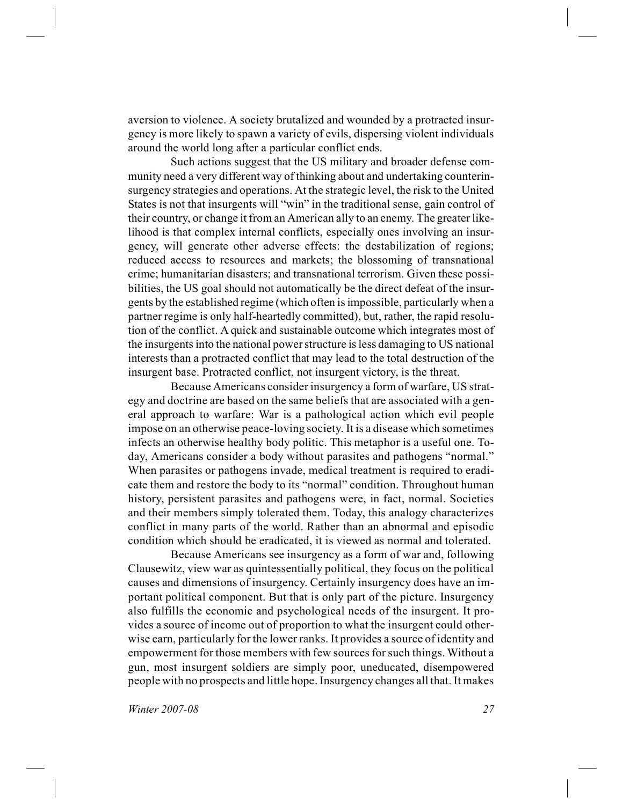aversion to violence. A society brutalized and wounded by a protracted insurgency is more likely to spawn a variety of evils, dispersing violent individuals around the world long after a particular conflict ends.

Such actions suggest that the US military and broader defense community need a very different way of thinking about and undertaking counterinsurgency strategies and operations. At the strategic level, the risk to the United States is not that insurgents will "win" in the traditional sense, gain control of their country, or change it from an American ally to an enemy. The greater likelihood is that complex internal conflicts, especially ones involving an insurgency, will generate other adverse effects: the destabilization of regions; reduced access to resources and markets; the blossoming of transnational crime; humanitarian disasters; and transnational terrorism. Given these possibilities, the US goal should not automatically be the direct defeat of the insurgents by the established regime (which often is impossible, particularly when a partner regime is only half-heartedly committed), but, rather, the rapid resolution of the conflict. A quick and sustainable outcome which integrates most of the insurgents into the national power structure is less damaging to US national interests than a protracted conflict that may lead to the total destruction of the insurgent base. Protracted conflict, not insurgent victory, is the threat.

Because Americans consider insurgency a form of warfare, US strategy and doctrine are based on the same beliefs that are associated with a general approach to warfare: War is a pathological action which evil people impose on an otherwise peace-loving society. It is a disease which sometimes infects an otherwise healthy body politic. This metaphor is a useful one. Today, Americans consider a body without parasites and pathogens "normal." When parasites or pathogens invade, medical treatment is required to eradicate them and restore the body to its "normal" condition. Throughout human history, persistent parasites and pathogens were, in fact, normal. Societies and their members simply tolerated them. Today, this analogy characterizes conflict in many parts of the world. Rather than an abnormal and episodic condition which should be eradicated, it is viewed as normal and tolerated.

Because Americans see insurgency as a form of war and, following Clausewitz, view war as quintessentially political, they focus on the political causes and dimensions of insurgency. Certainly insurgency does have an important political component. But that is only part of the picture. Insurgency also fulfills the economic and psychological needs of the insurgent. It provides a source of income out of proportion to what the insurgent could otherwise earn, particularly for the lower ranks. It provides a source of identity and empowerment for those members with few sources for such things. Without a gun, most insurgent soldiers are simply poor, uneducated, disempowered people with no prospects and little hope. Insurgency changes all that. It makes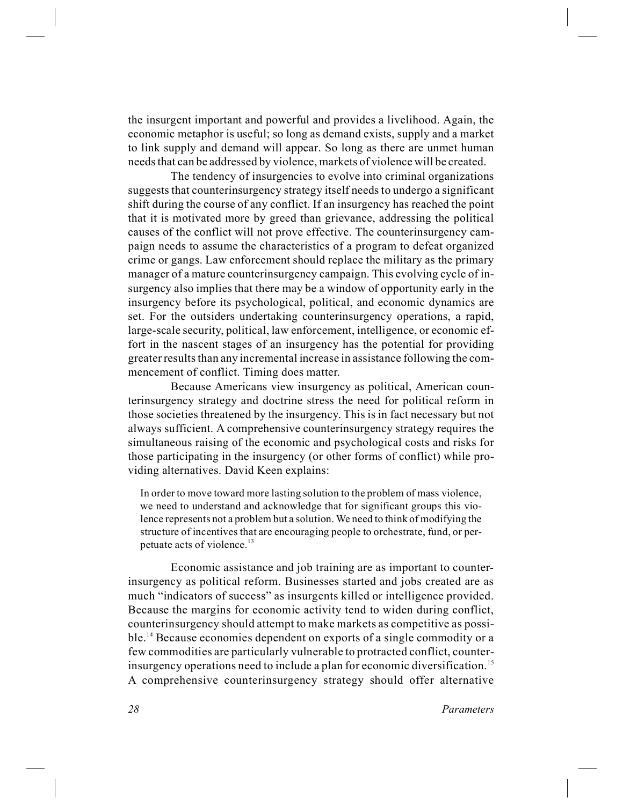the insurgent important and powerful and provides a livelihood. Again, the economic metaphor is useful; so long as demand exists, supply and a market to link supply and demand will appear. So long as there are unmet human needs that can be addressed by violence, markets of violence will be created.

The tendency of insurgencies to evolve into criminal organizations suggests that counterinsurgency strategy itself needs to undergo a significant shift during the course of any conflict. If an insurgency has reached the point that it is motivated more by greed than grievance, addressing the political causes of the conflict will not prove effective. The counterinsurgency campaign needs to assume the characteristics of a program to defeat organized crime or gangs. Law enforcement should replace the military as the primary manager of a mature counterinsurgency campaign. This evolving cycle of insurgency also implies that there may be a window of opportunity early in the insurgency before its psychological, political, and economic dynamics are set. For the outsiders undertaking counterinsurgency operations, a rapid, large-scale security, political, law enforcement, intelligence, or economic effort in the nascent stages of an insurgency has the potential for providing greater results than any incremental increase in assistance following the commencement of conflict. Timing does matter.

Because Americans view insurgency as political, American counterinsurgency strategy and doctrine stress the need for political reform in those societies threatened by the insurgency. This is in fact necessary but not always sufficient. A comprehensive counterinsurgency strategy requires the simultaneous raising of the economic and psychological costs and risks for those participating in the insurgency (or other forms of conflict) while providing alternatives. David Keen explains:

In order to move toward more lasting solution to the problem of mass violence, we need to understand and acknowledge that for significant groups this violence represents not a problem but a solution. We need to think of modifying the structure of incentives that are encouraging people to orchestrate, fund, or perpetuate acts of violence.<sup>13</sup>

Economic assistance and job training are as important to counterinsurgency as political reform. Businesses started and jobs created are as much "indicators of success" as insurgents killed or intelligence provided. Because the margins for economic activity tend to widen during conflict, counterinsurgency should attempt to make markets as competitive as possible.<sup>14</sup> Because economies dependent on exports of a single commodity or a few commodities are particularly vulnerable to protracted conflict, counterinsurgency operations need to include a plan for economic diversification.<sup>15</sup> A comprehensive counterinsurgency strategy should offer alternative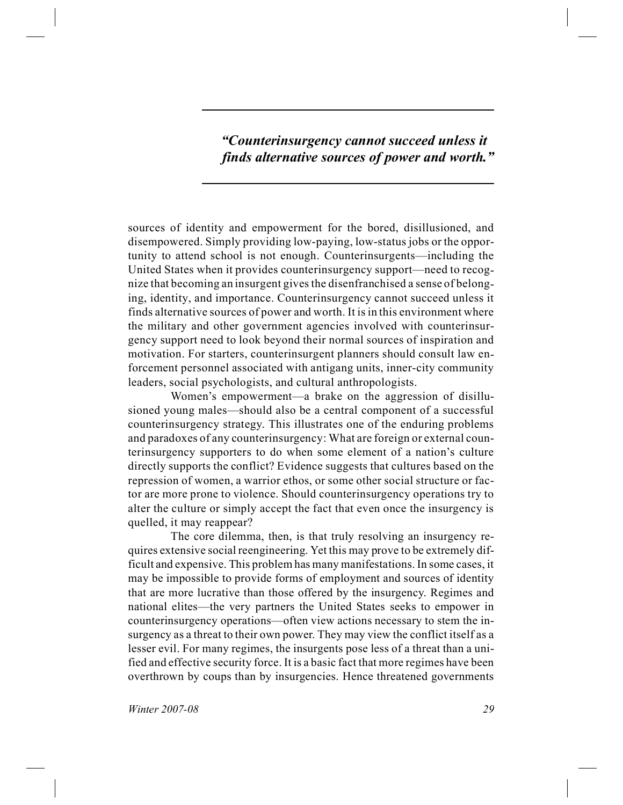## *"Counterinsurgency cannot succeed unless it finds alternative sources of power and worth."*

sources of identity and empowerment for the bored, disillusioned, and disempowered. Simply providing low-paying, low-status jobs or the opportunity to attend school is not enough. Counterinsurgents—including the United States when it provides counterinsurgency support—need to recognize that becoming an insurgent gives the disenfranchised a sense of belonging, identity, and importance. Counterinsurgency cannot succeed unless it finds alternative sources of power and worth. It is in this environment where the military and other government agencies involved with counterinsurgency support need to look beyond their normal sources of inspiration and motivation. For starters, counterinsurgent planners should consult law enforcement personnel associated with antigang units, inner-city community leaders, social psychologists, and cultural anthropologists.

Women's empowerment—a brake on the aggression of disillusioned young males—should also be a central component of a successful counterinsurgency strategy. This illustrates one of the enduring problems and paradoxes of any counterinsurgency: What are foreign or external counterinsurgency supporters to do when some element of a nation's culture directly supports the conflict? Evidence suggests that cultures based on the repression of women, a warrior ethos, or some other social structure or factor are more prone to violence. Should counterinsurgency operations try to alter the culture or simply accept the fact that even once the insurgency is quelled, it may reappear?

The core dilemma, then, is that truly resolving an insurgency requires extensive social reengineering. Yet this may prove to be extremely difficult and expensive. This problem has many manifestations. In some cases, it may be impossible to provide forms of employment and sources of identity that are more lucrative than those offered by the insurgency. Regimes and national elites—the very partners the United States seeks to empower in counterinsurgency operations—often view actions necessary to stem the insurgency as a threat to their own power. They may view the conflict itself as a lesser evil. For many regimes, the insurgents pose less of a threat than a unified and effective security force. It is a basic fact that more regimes have been overthrown by coups than by insurgencies. Hence threatened governments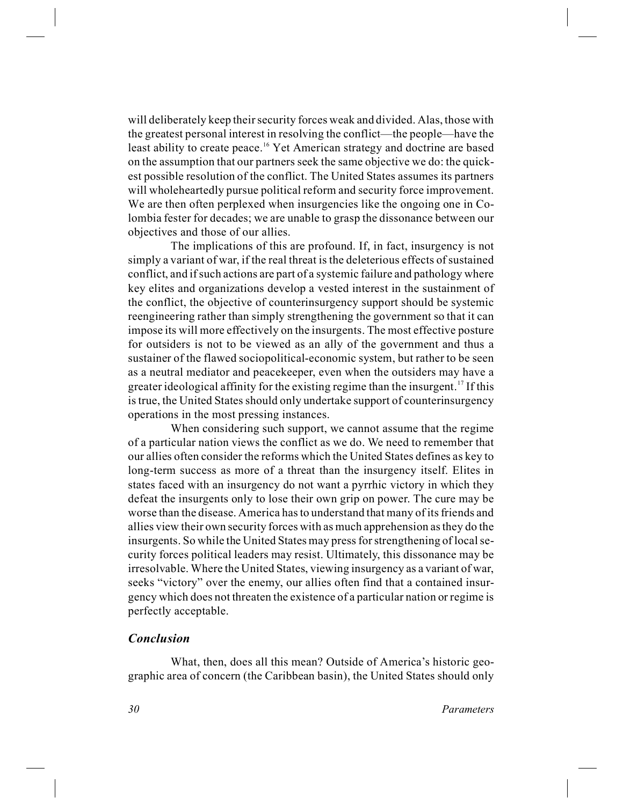will deliberately keep their security forces weak and divided. Alas, those with the greatest personal interest in resolving the conflict—the people—have the least ability to create peace.<sup>16</sup> Yet American strategy and doctrine are based on the assumption that our partners seek the same objective we do: the quickest possible resolution of the conflict. The United States assumes its partners will wholeheartedly pursue political reform and security force improvement. We are then often perplexed when insurgencies like the ongoing one in Colombia fester for decades; we are unable to grasp the dissonance between our objectives and those of our allies.

The implications of this are profound. If, in fact, insurgency is not simply a variant of war, if the real threat is the deleterious effects of sustained conflict, and if such actions are part of a systemic failure and pathology where key elites and organizations develop a vested interest in the sustainment of the conflict, the objective of counterinsurgency support should be systemic reengineering rather than simply strengthening the government so that it can impose its will more effectively on the insurgents. The most effective posture for outsiders is not to be viewed as an ally of the government and thus a sustainer of the flawed sociopolitical-economic system, but rather to be seen as a neutral mediator and peacekeeper, even when the outsiders may have a greater ideological affinity for the existing regime than the insurgent.<sup>17</sup> If this is true, the United States should only undertake support of counterinsurgency operations in the most pressing instances.

When considering such support, we cannot assume that the regime of a particular nation views the conflict as we do. We need to remember that our allies often consider the reforms which the United States defines as key to long-term success as more of a threat than the insurgency itself. Elites in states faced with an insurgency do not want a pyrrhic victory in which they defeat the insurgents only to lose their own grip on power. The cure may be worse than the disease. America has to understand that many of its friends and allies view their own security forces with as much apprehension as they do the insurgents. So while the United States may press for strengthening of local security forces political leaders may resist. Ultimately, this dissonance may be irresolvable. Where the United States, viewing insurgency as a variant of war, seeks "victory" over the enemy, our allies often find that a contained insurgency which does not threaten the existence of a particular nation or regime is perfectly acceptable.

#### *Conclusion*

What, then, does all this mean? Outside of America's historic geographic area of concern (the Caribbean basin), the United States should only

*30 Parameters*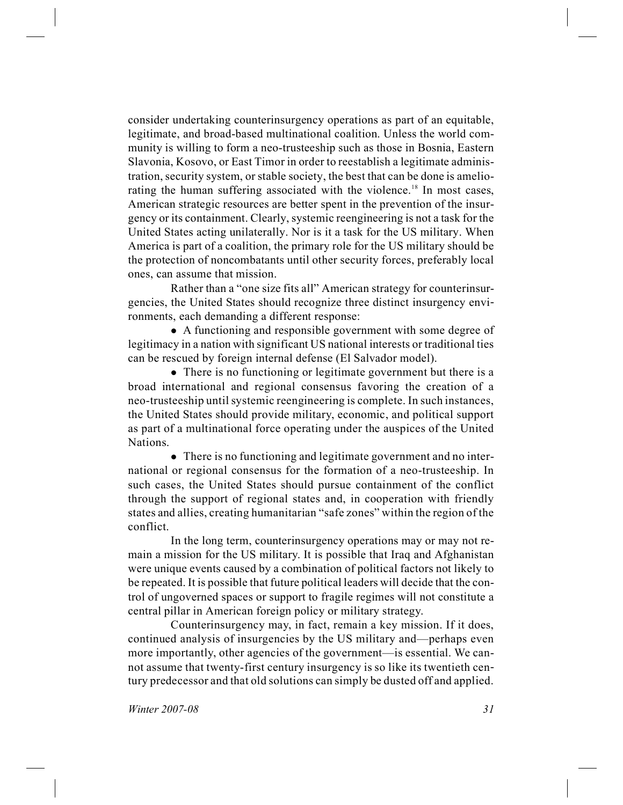consider undertaking counterinsurgency operations as part of an equitable, legitimate, and broad-based multinational coalition. Unless the world community is willing to form a neo-trusteeship such as those in Bosnia, Eastern Slavonia, Kosovo, or East Timor in order to reestablish a legitimate administration, security system, or stable society, the best that can be done is ameliorating the human suffering associated with the violence.<sup>18</sup> In most cases, American strategic resources are better spent in the prevention of the insurgency or its containment. Clearly, systemic reengineering is not a task for the United States acting unilaterally. Nor is it a task for the US military. When America is part of a coalition, the primary role for the US military should be the protection of noncombatants until other security forces, preferably local ones, can assume that mission.

Rather than a "one size fits all" American strategy for counterinsurgencies, the United States should recognize three distinct insurgency environments, each demanding a different response:

 A functioning and responsible government with some degree of legitimacy in a nation with significant US national interests or traditional ties can be rescued by foreign internal defense (El Salvador model).

• There is no functioning or legitimate government but there is a broad international and regional consensus favoring the creation of a neo-trusteeship until systemic reengineering is complete. In such instances, the United States should provide military, economic, and political support as part of a multinational force operating under the auspices of the United Nations.

 There is no functioning and legitimate government and no international or regional consensus for the formation of a neo-trusteeship. In such cases, the United States should pursue containment of the conflict through the support of regional states and, in cooperation with friendly states and allies, creating humanitarian "safe zones" within the region of the conflict.

In the long term, counterinsurgency operations may or may not remain a mission for the US military. It is possible that Iraq and Afghanistan were unique events caused by a combination of political factors not likely to be repeated. It is possible that future political leaders will decide that the control of ungoverned spaces or support to fragile regimes will not constitute a central pillar in American foreign policy or military strategy.

Counterinsurgency may, in fact, remain a key mission. If it does, continued analysis of insurgencies by the US military and—perhaps even more importantly, other agencies of the government—is essential. We cannot assume that twenty-first century insurgency is so like its twentieth century predecessor and that old solutions can simply be dusted off and applied.